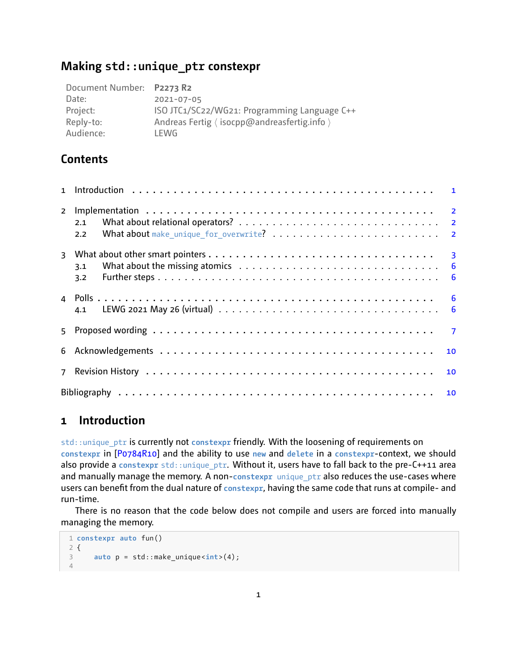# **Making std::unique\_ptr constexpr**

| Document Number: P2273 R2 |                                              |
|---------------------------|----------------------------------------------|
| Date:                     | 2021-07-05                                   |
| Project:                  | ISO JTC1/SC22/WG21: Programming Language C++ |
| Reply-to:                 | Andreas Fertig (isocpp@andreasfertig.info)   |
| Audience:                 | LEWG                                         |

# **Contents**

|                | 2.1 |  |
|----------------|-----|--|
|                | 2.2 |  |
| $\overline{3}$ |     |  |
|                | 3.1 |  |
|                | 3.2 |  |
|                |     |  |
|                |     |  |
| 5.             |     |  |
|                | 10  |  |
| $\overline{7}$ | 10  |  |
|                |     |  |

# <span id="page-0-0"></span>**1 Introduction**

std::unique\_ptr is currently not **constexpr** friendly. With the loosening of requirements on **constexpr** in[[P0784R10\]](#page-9-3) and the ability to use **new** and **delete** in a **constexpr**context, we should also provide a constexpr std::unique\_ptr. Without it, users have to fall back to the pre-C++11 area and manually manage the memory. A non-constexpr unique\_ptr also reduces the use-cases where users can benefit from the dual nature of constexpr, having the same code that runs at compile- and run-time.

There is no reason that the code below does not compile and users are forced into manually managing the memory.

```
1 constexpr auto fun()
2 {
3 auto p = std::make_unique <int>(4);
4
```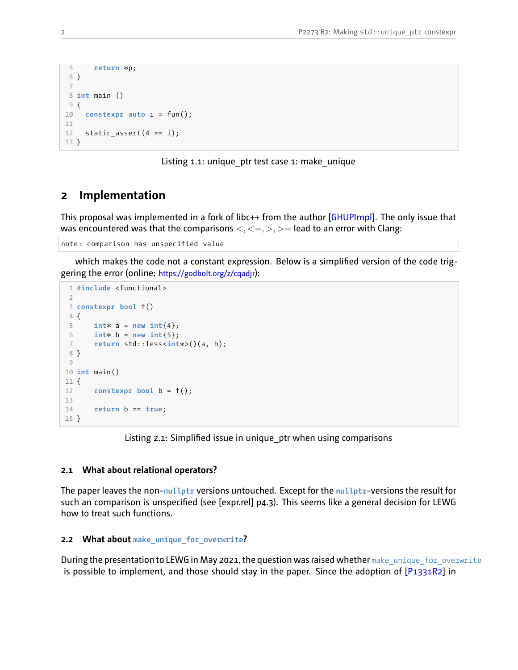```
5 return *
p;
 6 }
7
8 int main ()
9 {
10 constexpr auto i = fun();
11
12 static assert(4 == i);13 }
```
Listing 1.1: unique\_ptr test case 1: make\_unique

### <span id="page-1-0"></span>**2 Implementation**

This proposal was implemented in a fork of libc++ from the author[[GHUPImpl\]](#page-9-4). The only issue that was encountered was that the comparisons  $\langle \langle \langle \langle \rangle \rangle \rangle = 0$  lead to an error with Clang:

note: comparison has unspecified value

which makes the code not a constant expression. Below is a simplified version of the code triggering the error (online: <https://godbolt.org/z/cqadjr>):

```
1 #include <functional>
 \overline{2}3 constexpr bool f()
4 {
 5 int*
a = new int{4};
 6 int*
b = new int{5};
 7 return std::less<int*
>()(a, b);
8 }
9
10 int main()
11 {
12 constexpr bool b = f();
13
14 return b == true;
15 }
```
Listing 2.1: Simplified issue in unique ptr when using comparisons

### <span id="page-1-1"></span>**2.1 What about relational operators?**

The paper leaves the non-nullptr versions untouched. Except for the nullptr-versions the result for such an comparison is unspecified (see [expr.rel] p4.3). This seems like a general decision for LEWG how to treat such functions.

#### <span id="page-1-2"></span>**2.2 What about make\_unique\_for\_overwrite?**

During the presentation to LEWG in May 2021, the question was raised whether make unique for overwrite is possible to implement, and those should stay in the paper. Since the adoption of  $[P1331R2]$  in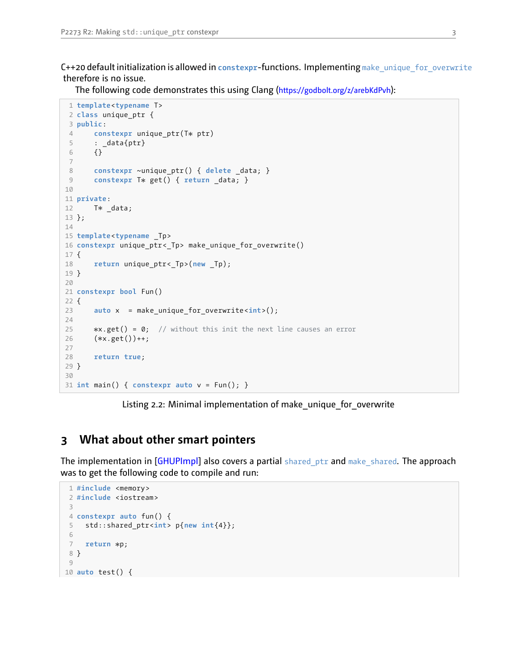C++20 default initialization is allowed in **constexpr**functions. Implementing make\_unique\_for\_overwrite therefore is no issue.

The following code demonstrates this using Clang (<https://godbolt.org/z/arebKdPvh>):

```
1 template<typename T>
 2 class unique_ptr {
 3 public:
 4 constexpr unique_ptr(T*
ptr)
 5 \qquad : \_data\{ptr\}6 {}
 7
 8 constexpr ~unique_ptr() { delete _data; }
 9 constexpr T*
get() { return _data; }
10
11 private:
12 T*
_data;
13 };
14
15 template<typename _Tp>
16 constexpr unique_ptr<_Tp> make_unique_for_overwrite()
17 {
18 return unique_ptr<_Tp>(new _Tp);
19 }
20
21 constexpr bool Fun()
22 {
23 auto x = make_unique_for_overwrite <int>();
24
25<br>26
       \ast x.get() = 0; // without this init the next line causes an error
26 (*
x.get())++;
27
28 return true;
29 }
30
31 int main() { constexpr auto v = Fun(); }
```
Listing 2.2: Minimal implementation of make\_unique\_for\_overwrite

# <span id="page-2-0"></span>**3 What about other smart pointers**

The implementation in [\[GHUPImpl](#page-9-4)] also covers a partial shared\_ptr and make\_shared. The approach was to get the following code to compile and run:

```
1 #include <memory>
 2 #include <iostream>
 3
4 constexpr auto fun() {
 5 std::shared_ptr<int> p{new int{4}};
 6
 7 return *
p;
 8 }
 9
10 auto test() {
```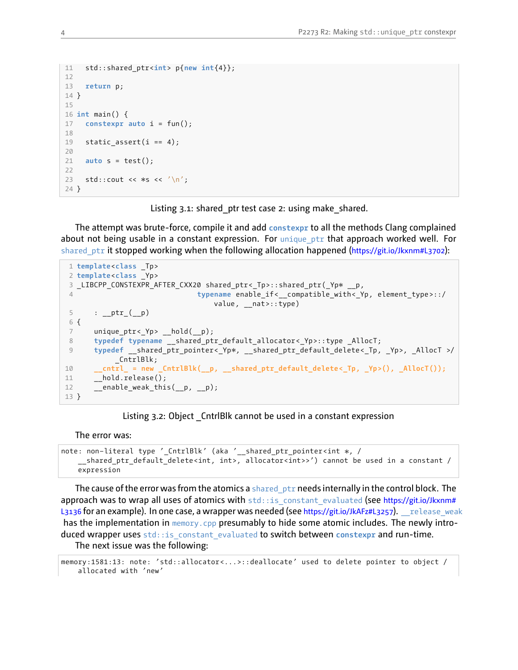```
11 std::shared_ptr<int> p{new int{4}};
12
13 return p;
14 }
15
16 int main() {
17 constexpr auto i = fun();
18
19 static_assert(i == 4);
20
21 auto s = test();
22
23 std::cout << *
s << '\n';
24 }
```
Listing 3.1: shared ptr test case 2: using make shared.

The attempt was brute-force, compile it and add constexpr to all the methods Clang complained about not being usable in a constant expression. For unique  $ptr$  that approach worked well. For shared ptr it stopped working when the following allocation happened (<https://git.io/Jkxnm#L3702>):

```
1 template<class _Tp>
2 template<class _Yp>
 3 _LIBCPP_CONSTEXPR_AFTER_CXX20 shared_ptr<_Tp>::shared_ptr(_Yp*
__p,
4 typename enable if< compatible with< Yp, element type >::/
                               value, nat>::type)
5 : _{ptr_{(p)}}6 {
7 unique ptr< Yp> hold( p);
8 typedef typename __shared_ptr_default_allocator <_Yp>::type _AllocT;
 9 typedef __shared_ptr_pointer <_Yp*
, __shared_ptr_default_delete <_Tp, _Yp>, _AllocT >/
          _CntrlBlk;
10 __cntrl_ = new _CntrlBlk(__p, __shared_ptr_default_delete<_Tp, _Yp>(), _AllocT());
11 hold.release();
12 enable weak this(p, p);
13 }
```
Listing 3.2: Object CntrlBlk cannot be used in a constant expression

The error was:

```
note: non−literal type '_CntrlBlk' (aka '__shared_ptr_pointer <int *
, /
   __shared_ptr_default_delete <int, int>, allocator<int>>') cannot be used in a constant /
   expression
```
The cause of the error was from the atomics a shared  $ptr$  needs internally in the control block. The approach was to wrap all uses of atomics with  $std::is$  constant evaluated (see [https://git.io/Jkxnm#](https://git.io/Jkxnm#L3136) [L3136](https://git.io/Jkxnm#L3136) for an example). In one case, a wrapper was needed (see <https://git.io/JkAFz#L3257>). \_\_ release\_weak has the implementation in memory.cpp presumably to hide some atomic includes. The newly introduced wrapper uses std::is\_constant\_evaluated to switch between constexpr and run-time. The next issue was the following:

```
memory:1581:13: note: 'std::allocator<...>::deallocate' used to delete pointer to object /
    allocated with 'new'
```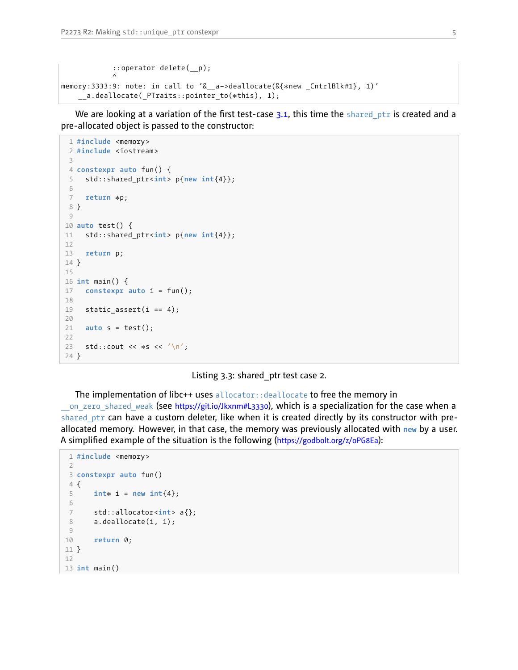```
::operator delete(__p);
            \lambdamemory:3333:9: note: in call to '&__a−>deallocate(&{*
new _CntrlBlk#1}, 1)'
    __a.deallocate(_PTraits::pointer_to(*
this), 1);
```
We are looking at a variation of the first test-case  $3.1$ , this time the shared ptr is created and a pre-allocated object is passed to the constructor:

```
1 #include <memory>
 2 #include <iostream>
 3
 4 constexpr auto fun() {
 5 std::shared_ptr<int> p{new int{4}};
 6
 7 return *
p;
8 }
9
10 auto test() {
11 std::shared_ptr<int> p{new int{4}};
12
13 return p;
14 }
15
16 int main() {
17 constexpr auto i = fun();
18
19 static assert(i == 4);
20
21 auto s = test();
22
23 std::cout << *
s << '\n';
24 }
```
Listing 3.3: shared\_ptr test case 2.

The implementation of libc++ uses allocator::deallocate to free the memory in on zero shared weak (see <https://git.io/Jkxnm#L3330>), which is a specialization for the case when a shared\_ptr can have a custom deleter, like when it is created directly by its constructor with preallocated memory. However, in that case, the memory was previously allocated with **new** by a user. A simplified example of the situation is the following (<https://godbolt.org/z/oPG8Ea>):

```
1 #include <memory>
2
3 constexpr auto fun()
4 {
 5 int*
i = new int{4};
6
7 std::allocator<int> a{};
8 a.deallocate(i, 1);
9
10 return 0;
11 }
12
13 int main()
```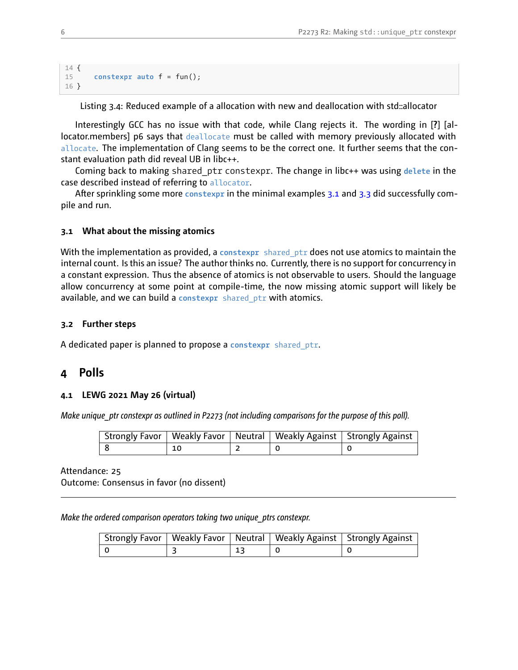```
14 {
15 constexpr auto f = fun();
16 }
```
Listing 3.4: Reduced example of a allocation with new and deallocation with std::allocator

Interestingly GCC has no issue with that code, while Clang rejects it. The wording in [**?**] [allocator.members] p6 says that deallocate must be called with memory previously allocated with allocate. The implementation of Clang seems to be the correct one. It further seems that the constant evaluation path did reveal UB in libc++.

Coming back to making shared\_ptr constexpr. The change in libc++ was using **delete** in the case described instead of referring to allocator.

After sprinkling some more **constexpr** in the minimal examples [3.1](#page-2-1) and [3.3](#page-4-0) did successfully compile and run.

### <span id="page-5-0"></span>**3.1 What about the missing atomics**

With the implementation as provided, a **constexpr** shared\_ptr does not use atomics to maintain the internal count. Is this an issue? The author thinks no. Currently, there is no support for concurrency in a constant expression. Thus the absence of atomics is not observable to users. Should the language allow concurrency at some point at compile-time, the now missing atomic support will likely be available, and we can build a **constexpr** shared\_ptr with atomics.

### <span id="page-5-1"></span>**3.2 Further steps**

<span id="page-5-2"></span>A dedicated paper is planned to propose a **constexpr** shared\_ptr.

### **4 Polls**

#### <span id="page-5-3"></span>**4.1 LEWG 2021 May 26 (virtual)**

*Make unique ptr constexpr as outlined in P2273 (not including comparisons for the purpose of this poll).* 

|    |  | Strongly Favor   Weakly Favor   Neutral   Weakly Against   Strongly Against |
|----|--|-----------------------------------------------------------------------------|
| 10 |  |                                                                             |

Attendance: 25 Outcome: Consensus in favor (no dissent)

*Make the ordered comparison operators taking two unique\_ptrs constexpr.*

|  |            | Strongly Favor   Weakly Favor   Neutral   Weakly Against   Strongly Against |
|--|------------|-----------------------------------------------------------------------------|
|  | $\perp$ 13 |                                                                             |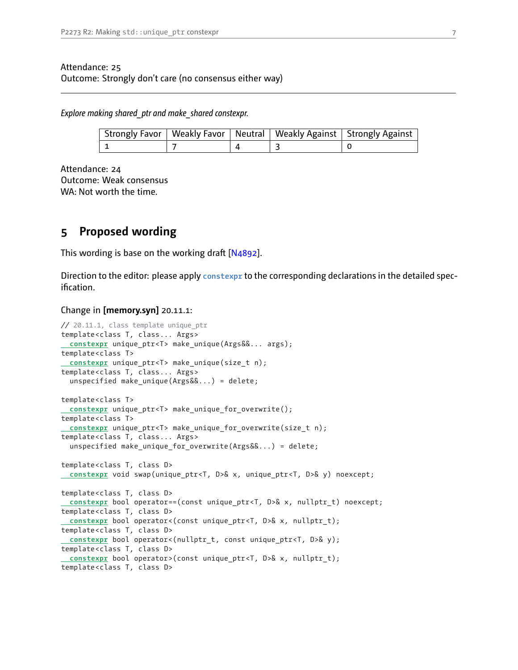### Attendance: 25 Outcome: Strongly don't care (no consensus either way)

*Explore making shared\_ptr and make\_shared constexpr.*

|  |                | Strongly Favor   Weakly Favor   Neutral   Weakly Against   Strongly Against |
|--|----------------|-----------------------------------------------------------------------------|
|  | $\overline{a}$ |                                                                             |

Attendance: 24 Outcome: Weak consensus WA: Not worth the time.

# <span id="page-6-0"></span>**5 Proposed wording**

This wording is base on the working draft [\[N4892\]](#page-9-6).

Direction to the editor: please apply **constexpr** to the corresponding declarations in the detailed specification.

#### Change in **[memory.syn]** 20.11.1:

```
// 20.11.1, class template unique_ptr
template<class T, class... Args>
constexpr unique_ptr<T> make_unique(Args&&... args);
template<class T>
constexpr unique_ptr<T> make_unique(size_t n);
template<class T, class... Args>
  unspecified make_unique(Args&&...) = delete;
template<class T>
 constexpr unique_ptr<T> make_unique_for_overwrite();
template<class T>
 constexpr unique_ptr<T> make_unique_for_overwrite(size_t n);
template<class T, class... Args>
  unspecified make unique for overwrite(Args&&...) = delete;
template<class T, class D>
constexpr void swap(unique_ptr<T, D>& x, unique_ptr<T, D>& y) noexcept;
template<class T, class D>
 constexpr bool operator==(const unique ptr<T, D>& x, nullptr t) noexcept;
template<class T, class D>
 constexpr bool operator <(const unique_ptr<T, D>& x, nullptr_t);
template<class T, class D>
constexpr bool operator <(nullptr_t, const unique_ptr<T, D>& y);
template<class T, class D>
constexpr bool operator >(const unique_ptr<T, D>& x, nullptr_t);
template<class T, class D>
```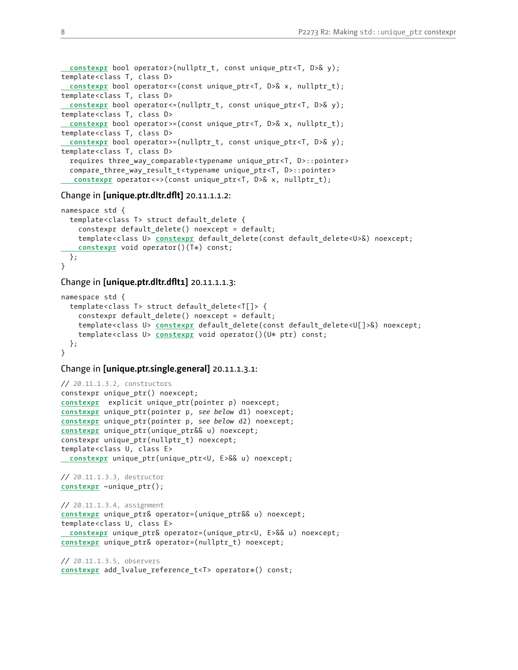```
constexpr bool operator >(nullptr_t, const unique_ptr<T, D>& y);
template<class T, class D>
 constexpr bool operator <= (const unique_ptr<T, D>& x, nullptr_t);
template<class T, class D>
 constexpr bool operator <= (nullptr t, const unique ptr<T, D>& y);
template<class T, class D>
 constexpr bool operator >=(const unique_ptr<T, D>& x, nullptr_t);
template<class T, class D>
 constexpr bool operator >=(nullptr t, const unique ptr<T, D>& y);
template<class T, class D>
  requires three way comparable <typename unique ptr<T, D>::pointer>
  compare_three_way_result_t <typename unique_ptr<T, D>::pointer>
  constexpr operator <=> (const unique_ptr<T, D>& x, nullptr_t);
```
#### Change in **[unique.ptr.dltr.dflt]** 20.11.1.1.2:

```
namespace std {
  template<class T> struct default_delete {
    constexpr default_delete() noexcept = default;
    template<class U> constexpr default_delete(const default_delete <U>&) noexcept;
    constexpr void operator()(T*
) const;
 };
}
```
#### Change in **[unique.ptr.dltr.dflt1]** 20.11.1.1.3:

```
namespace std {
  template<class T> struct default_delete <T[]> {
    constexpr default_delete() noexcept = default;
    template<class U> constexpr default_delete(const default_delete <U[]>&) noexcept;
    template<class U> constexpr void operator()(U*
ptr) const;
 };
}
```
#### Change in **[unique.ptr.single.general]** 20.11.1.3.1:

```
// 20.11.1.3.2, constructors
constexpr unique_ptr() noexcept;
constexpr explicit unique_ptr(pointer p) noexcept;
constexpr unique_ptr(pointer p, see below d1) noexcept;
constexpr unique_ptr(pointer p, see below d2) noexcept;
constexpr unique_ptr(unique_ptr&& u) noexcept;
constexpr unique_ptr(nullptr_t) noexcept;
template<class U, class E>
 constexpr unique_ptr(unique_ptr<U, E>&& u) noexcept;
// 20.11.1.3.3, destructor
constexpr ~unique_ptr();
// 20.11.1.3.4, assignment
constexpr unique_ptr& operator=(unique_ptr&& u) noexcept;
template<class U, class E>
constexpr unique_ptr& operator=(unique_ptr<U, E>&& u) noexcept;
constexpr unique_ptr& operator=(nullptr_t) noexcept;
// 20.11.1.3.5, observers
```

```
constexpr add_lvalue_reference_t <T> operator*
() const;
```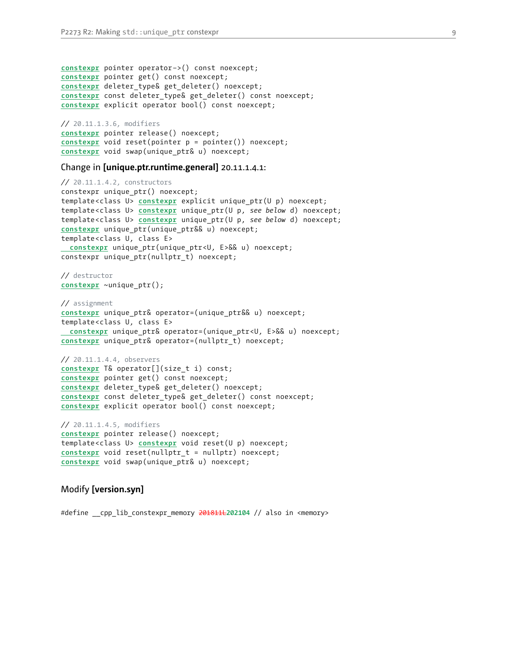```
constexpr pointer operator −>() const noexcept;
constexpr pointer get() const noexcept;
constexpr deleter_type& get_deleter() noexcept;
constexpr const deleter_type& get_deleter() const noexcept;
constexpr explicit operator bool() const noexcept;
```
*//* 20.11.1.3.6, modifiers **constexpr** pointer release() noexcept; **constexpr** void reset(pointer p = pointer()) noexcept; **constexpr** void swap(unique\_ptr& u) noexcept;

#### Change in **[unique.ptr.runtime.general]** 20.11.1.4.1:

```
// 20.11.1.4.2, constructors
constexpr unique_ptr() noexcept;
template<class U> constexpr explicit unique_ptr(U p) noexcept;
template<class U> constexpr unique_ptr(U p, see below d) noexcept;
template<class U> constexpr unique_ptr(U p, see below d) noexcept;
constexpr unique_ptr(unique_ptr&& u) noexcept;
template<class U, class E>
constexpr unique_ptr(unique_ptr<U, E>&& u) noexcept;
constexpr unique ptr(nullptr t) noexcept;
```
*//* destructor **constexpr** ~unique\_ptr();

```
// assignment
constexpr unique_ptr& operator=(unique_ptr&& u) noexcept;
template<class U, class E>
constexpr unique_ptr& operator=(unique_ptr<U, E>&& u) noexcept;
constexpr unique_ptr& operator=(nullptr_t) noexcept;
```

```
// 20.11.1.4.4, observers
constexpr T& operator[](size_t i) const;
constexpr pointer get() const noexcept;
constexpr deleter_type& get_deleter() noexcept;
constexpr const deleter_type& get_deleter() const noexcept;
constexpr explicit operator bool() const noexcept;
```
*//* 20.11.1.4.5, modifiers **constexpr** pointer release() noexcept; template<class U> **constexpr** void reset(U p) noexcept; **constexpr** void reset(nullptr\_t = nullptr) noexcept; **constexpr** void swap(unique\_ptr& u) noexcept;

#### Modify **[version.syn]**

#define \_\_cpp\_lib\_constexpr\_memory 201811L**202104** // also in <memory>